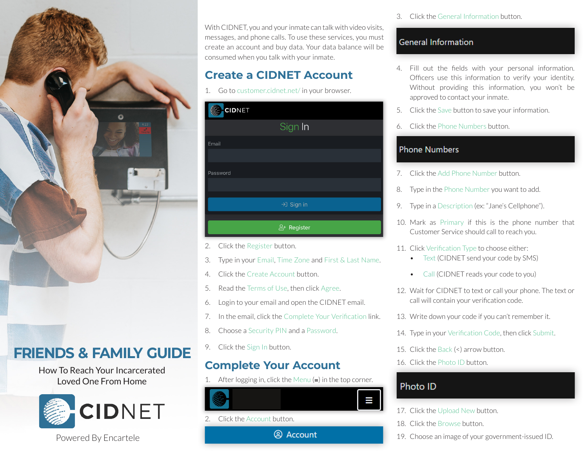

# **FRIENDS & FAMILY GUIDE**

How To Reach Your Incarcerated Loved One From Home



Powered By Encartele

With CIDNET, you and your inmate can talk with video visits, messages, and phone calls. To use these services, you must create an account and buy data. Your data balance will be consumed when you talk with your inmate.

### **Create a CIDNET Account**

1. Go to customer.cidnet.net/ in your browser.

| <b>CIDNET</b> |            |
|---------------|------------|
|               | Sign In    |
| Email         |            |
|               |            |
| Password      |            |
|               |            |
|               | →] Sign in |
|               | & Register |

- 2. Click the Register button.
- 3. Type in your Email, Time Zone and First & Last Name.
- 4. Click the Create Account button.
- 5. Read the Terms of Use, then click Agree.
- 6. Login to your email and open the CIDNET email.
- 7. In the email, click the Complete Your Verification link.
- 8. Choose a Security PIN and a Password.
- 9. Click the Sign In button.

# **Complete Your Account**

1. After logging in, click the Menu (≡) in the top corner.



2. Click the Account button.

**Account** 

#### 3. Click the General Information button.

#### **General Information**

- 4. Fill out the fields with your personal information. Officers use this information to verify your identity. Without providing this information, you won't be approved to contact your inmate.
- 5. Click the Save button to save your information.
- 6. Click the Phone Numbers button.

#### **Phone Numbers**

- 7. Click the Add Phone Number button.
- 8. Type in the Phone Number you want to add.
- 9. Type in a Description (ex: "Jane's Cellphone").
- 10. Mark as Primary if this is the phone number that Customer Service should call to reach you.
- 11. Click Verification Type to choose either:
	- Text (CIDNET send your code by SMS)
	- Call (CIDNET reads your code to you)
- 12. Wait for CIDNET to text or call your phone. The text or call will contain your verification code.
- 13. Write down your code if you can't remember it.
- 14. Type in your Verification Code, then click Submit.
- 15. Click the Back (<) arrow button.
- 16. Click the Photo ID button.

# Photo ID

- 17. Click the Upload New button.
- 18. Click the Browse button.
- 19. Choose an image of your government-issued ID.